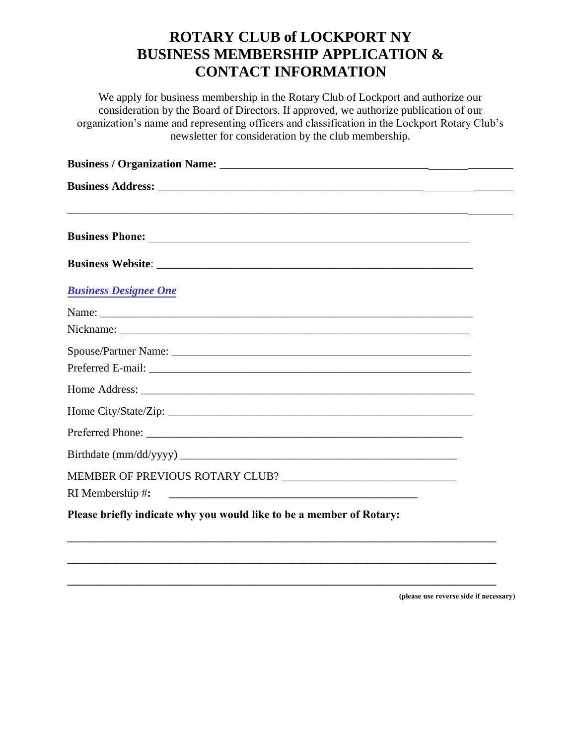# **ROTARY CLUB of LOCKPORT NY BUSINESS MEMBERSHIP APPLICATION & CONTACT INFORMATION**

We apply for business membership in the Rotary Club of Lockport and authorize our consideration by the Board of Directors. If approved, we authorize publication of our organization's name and representing officers and classification in the Lockport Rotary Club's newsletter for consideration by the club membership.

| <b>Business Designee One</b>                                         |  |
|----------------------------------------------------------------------|--|
|                                                                      |  |
|                                                                      |  |
|                                                                      |  |
|                                                                      |  |
|                                                                      |  |
|                                                                      |  |
| Preferred Phone:                                                     |  |
|                                                                      |  |
|                                                                      |  |
| RI Membership #:                                                     |  |
| Please briefly indicate why you would like to be a member of Rotary: |  |
|                                                                      |  |

**\_\_\_\_\_\_\_\_\_\_\_\_\_\_\_\_\_\_\_\_\_\_\_\_\_\_\_\_\_\_\_\_\_\_\_\_\_\_\_\_\_\_\_\_\_\_\_\_\_\_\_\_\_\_\_\_\_\_\_\_\_\_\_\_\_\_\_\_\_\_\_\_\_\_\_\_**

**\_\_\_\_\_\_\_\_\_\_\_\_\_\_\_\_\_\_\_\_\_\_\_\_\_\_\_\_\_\_\_\_\_\_\_\_\_\_\_\_\_\_\_\_\_\_\_\_\_\_\_\_\_\_\_\_\_\_\_\_\_\_\_\_\_\_\_\_\_\_\_\_\_\_\_\_**

**(please use reverse side if necessary)**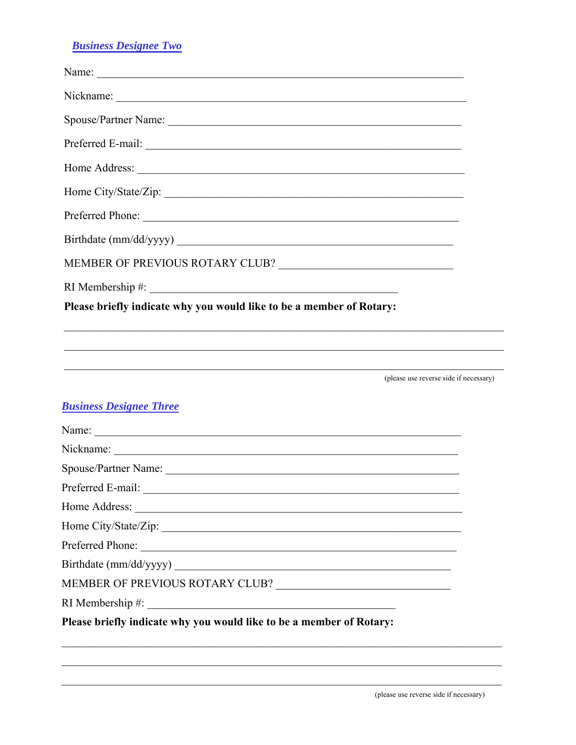## **Business Designee Two**

| Preferred Phone:                                                     |
|----------------------------------------------------------------------|
| Birthdate (mm/dd/yyyy)                                               |
|                                                                      |
|                                                                      |
| Please briefly indicate why you would like to be a member of Rotary: |
|                                                                      |
| (please use reverse side if necessary)                               |
| <b>Business Designee Three</b>                                       |
|                                                                      |
|                                                                      |
|                                                                      |
|                                                                      |
|                                                                      |
|                                                                      |
| Preferred Phone:                                                     |
|                                                                      |
|                                                                      |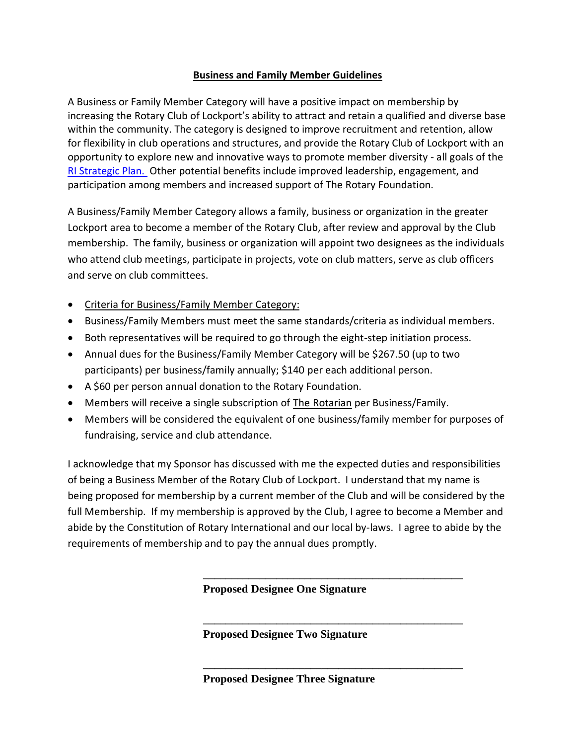## **Business and Family Member Guidelines**

A Business or Family Member Category will have a positive impact on membership by increasing the Rotary Club of Lockport's ability to attract and retain a qualified and diverse base within the community. The category is designed to improve recruitment and retention, allow for flexibility in club operations and structures, and provide the Rotary Club of Lockport with an opportunity to explore new and innovative ways to promote member diversity - all goals of the [RI Strategic Plan.](http://www.rotary.org/en/AboutUs/RotaryInternational/StrategicPlanning/Pages/ridefault.aspx) Other potential benefits include improved leadership, engagement, and participation among members and increased support of The Rotary Foundation.

A Business/Family Member Category allows a family, business or organization in the greater Lockport area to become a member of the Rotary Club, after review and approval by the Club membership. The family, business or organization will appoint two designees as the individuals who attend club meetings, participate in projects, vote on club matters, serve as club officers and serve on club committees.

- Criteria for Business/Family Member Category:
- Business/Family Members must meet the same standards/criteria as individual members.
- Both representatives will be required to go through the eight-step initiation process.
- Annual dues for the Business/Family Member Category will be \$267.50 (up to two participants) per business/family annually; \$140 per each additional person.
- A \$60 per person annual donation to the Rotary Foundation.
- Members will receive a single subscription of The Rotarian per Business/Family.
- Members will be considered the equivalent of one business/family member for purposes of fundraising, service and club attendance.

I acknowledge that my Sponsor has discussed with me the expected duties and responsibilities of being a Business Member of the Rotary Club of Lockport. I understand that my name is being proposed for membership by a current member of the Club and will be considered by the full Membership. If my membership is approved by the Club, I agree to become a Member and abide by the Constitution of Rotary International and our local by-laws. I agree to abide by the requirements of membership and to pay the annual dues promptly.

**Proposed Designee One Signature**

**\_\_\_\_\_\_\_\_\_\_\_\_\_\_\_\_\_\_\_\_\_\_\_\_\_\_\_\_\_\_\_\_\_\_\_\_\_\_\_\_\_\_\_\_\_\_**

**\_\_\_\_\_\_\_\_\_\_\_\_\_\_\_\_\_\_\_\_\_\_\_\_\_\_\_\_\_\_\_\_\_\_\_\_\_\_\_\_\_\_\_\_\_\_**

**\_\_\_\_\_\_\_\_\_\_\_\_\_\_\_\_\_\_\_\_\_\_\_\_\_\_\_\_\_\_\_\_\_\_\_\_\_\_\_\_\_\_\_\_\_\_**

**Proposed Designee Two Signature**